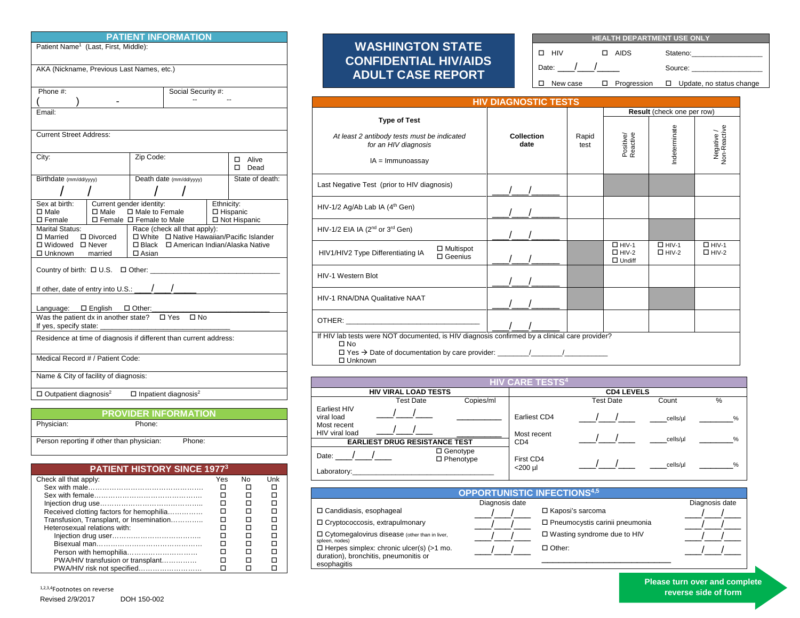| <b>PATIENT INFORMATION</b>                                                                                                                                                                                                                            |                                                                                                                                   |  |                         |  |  |  |
|-------------------------------------------------------------------------------------------------------------------------------------------------------------------------------------------------------------------------------------------------------|-----------------------------------------------------------------------------------------------------------------------------------|--|-------------------------|--|--|--|
| Patient Name <sup>1</sup> (Last, First, Middle):                                                                                                                                                                                                      |                                                                                                                                   |  |                         |  |  |  |
| AKA (Nickname, Previous Last Names, etc.)                                                                                                                                                                                                             |                                                                                                                                   |  |                         |  |  |  |
| Phone #                                                                                                                                                                                                                                               | Social Security #:                                                                                                                |  |                         |  |  |  |
|                                                                                                                                                                                                                                                       |                                                                                                                                   |  |                         |  |  |  |
| Email:                                                                                                                                                                                                                                                |                                                                                                                                   |  |                         |  |  |  |
| <b>Current Street Address:</b>                                                                                                                                                                                                                        |                                                                                                                                   |  |                         |  |  |  |
| City:                                                                                                                                                                                                                                                 | Zip Code:                                                                                                                         |  | Alive<br>□<br>п<br>Dead |  |  |  |
| Birthdate (mm/dd/yyyy)                                                                                                                                                                                                                                | Death date (mm/dd/yyyy)                                                                                                           |  | State of death:         |  |  |  |
|                                                                                                                                                                                                                                                       |                                                                                                                                   |  |                         |  |  |  |
| Sex at birth:<br>$\square$ Male<br>$\square$ Male<br>$\square$ Female                                                                                                                                                                                 | Current gender identity:<br>Ethnicity:<br>□ Male to Female<br>□ Hispanic<br>$\Box$ Female $\Box$ Female to Male<br>□ Not Hispanic |  |                         |  |  |  |
| <b>Marital Status:</b><br>Race (check all that apply):<br>□ White □ Native Hawaiian/Pacific Islander<br>□ Married<br>□ Divorced<br>□ American Indian/Alaska Native<br>□ Widowed □ Never<br>$\square$ Black<br>□ Unknown<br>$\square$ Asian<br>married |                                                                                                                                   |  |                         |  |  |  |
|                                                                                                                                                                                                                                                       |                                                                                                                                   |  |                         |  |  |  |
| If other, date of entry into U.S.:                                                                                                                                                                                                                    |                                                                                                                                   |  |                         |  |  |  |
|                                                                                                                                                                                                                                                       |                                                                                                                                   |  |                         |  |  |  |
| Language: $\square$ English $\square$ Other:<br>Was the patient dx in another state? $\Box$ Yes<br>$\square$ No<br>If yes, specify state:                                                                                                             |                                                                                                                                   |  |                         |  |  |  |
| Residence at time of diagnosis if different than current address:                                                                                                                                                                                     |                                                                                                                                   |  |                         |  |  |  |
| Medical Record # / Patient Code:                                                                                                                                                                                                                      |                                                                                                                                   |  |                         |  |  |  |
| Name & City of facility of diagnosis:                                                                                                                                                                                                                 |                                                                                                                                   |  |                         |  |  |  |
| $\Box$ Inpatient diagnosis <sup>2</sup><br>$\Box$ Outpatient diagnosis <sup>2</sup>                                                                                                                                                                   |                                                                                                                                   |  |                         |  |  |  |
| PROVIDER INFORMATION                                                                                                                                                                                                                                  |                                                                                                                                   |  |                         |  |  |  |
| Physician:<br>Phone:                                                                                                                                                                                                                                  |                                                                                                                                   |  |                         |  |  |  |
|                                                                                                                                                                                                                                                       |                                                                                                                                   |  |                         |  |  |  |
| Person reporting if other than physician:<br>Phone:                                                                                                                                                                                                   |                                                                                                                                   |  |                         |  |  |  |

| <b>PATIENT HISTORY SINCE 19773</b>       |     |    |     |  |  |
|------------------------------------------|-----|----|-----|--|--|
| Check all that apply:                    | Yes | No | Unk |  |  |
|                                          |     |    |     |  |  |
|                                          |     |    |     |  |  |
|                                          |     |    |     |  |  |
| Received clotting factors for hemophilia |     |    |     |  |  |
| Transfusion, Transplant, or Insemination |     |    |     |  |  |
| Heterosexual relations with:             |     |    |     |  |  |
|                                          |     |    |     |  |  |
|                                          |     |    |     |  |  |
| Person with hemophilia                   |     |    |     |  |  |
| PWA/HIV transfusion or transplant        |     |    |     |  |  |
| PWA/HIV risk not specified               |     |    |     |  |  |

÷.

## **WASHINGTON STATE CONFIDENTIAL HIV/AIDS ADULT CASE REPORT**

| <b>HEALTH DEPARTMENT USE ONLY</b> |  |        |  |                                                                    |
|-----------------------------------|--|--------|--|--------------------------------------------------------------------|
| п нім                             |  | □ AIDS |  | Stateno: The Contract of the Statenois                             |
| Date: $/$ $/$                     |  |        |  | Source: www.                                                       |
|                                   |  |        |  | $\Box$ New case $\Box$ Progression $\Box$ Update, no status change |

| <b>HIV DIAGNOSTIC TESTS</b>                                                                                                                                                                                                    |                    |               |                                               |                              |                              |
|--------------------------------------------------------------------------------------------------------------------------------------------------------------------------------------------------------------------------------|--------------------|---------------|-----------------------------------------------|------------------------------|------------------------------|
|                                                                                                                                                                                                                                |                    |               | Result (check one per row)                    |                              |                              |
| <b>Type of Test</b><br>At least 2 antibody tests must be indicated<br>for an HIV diagnosis<br>$IA = Immunoassay$                                                                                                               | Collection<br>date | Rapid<br>test | Positive/<br>Reactive                         | Indeterminate                | Negative /<br>Non-Reactive   |
| Last Negative Test (prior to HIV diagnosis)                                                                                                                                                                                    |                    |               |                                               |                              |                              |
| HIV-1/2 Ag/Ab Lab IA (4 <sup>th</sup> Gen)                                                                                                                                                                                     |                    |               |                                               |                              |                              |
| HIV-1/2 EIA IA (2 <sup>nd</sup> or 3 <sup>rd</sup> Gen)                                                                                                                                                                        |                    |               |                                               |                              |                              |
| $\Box$ Multispot<br>HIV1/HIV2 Type Differentiating IA<br>$\square$ Geenius                                                                                                                                                     |                    |               | $\Box$ HIV-1<br>$\Box$ HIV-2<br>$\Box$ Undiff | $\Box$ HIV-1<br>$\Box$ HIV-2 | $\Box$ HIV-1<br>$\Box$ HIV-2 |
| HIV-1 Western Blot                                                                                                                                                                                                             |                    |               |                                               |                              |                              |
| HIV-1 RNA/DNA Qualitative NAAT                                                                                                                                                                                                 |                    |               |                                               |                              |                              |
| OTHER: with a state of the contract of the contract of the contract of the contract of the contract of the contract of the contract of the contract of the contract of the contract of the contract of the contract of the con |                    |               |                                               |                              |                              |
| If HIV lab tests were NOT documented, is HIV diagnosis confirmed by a clinical care provider?<br>$\square$ No<br>$\Box$ Unknown                                                                                                |                    |               |                                               |                              |                              |

| <b>HIV CARE TESTS<sup>4</sup></b>                           |                                      |                                |                             |                   |          |      |
|-------------------------------------------------------------|--------------------------------------|--------------------------------|-----------------------------|-------------------|----------|------|
|                                                             | <b>HIV VIRAL LOAD TESTS</b>          |                                |                             | <b>CD4 LEVELS</b> |          |      |
|                                                             | Test Date                            | Copies/ml                      |                             | <b>Test Date</b>  | Count    | %    |
| Earliest HIV<br>viral load<br>Most recent<br>HIV viral load |                                      |                                | Earliest CD4<br>Most recent |                   | cells/ul | $\%$ |
|                                                             | <b>EARLIEST DRUG RESISTANCE TEST</b> |                                | CD <sub>4</sub>             |                   | cells/ul | $\%$ |
| Date:<br>Laboratory:                                        |                                      | □ Genotype<br>$\Box$ Phenotype | First CD4<br>$<$ 200 µl     |                   | cells/ul | $\%$ |

| <b>OPPORTUNISTIC INFECTIONS4,5</b>                                |                |                                  |                |  |  |
|-------------------------------------------------------------------|----------------|----------------------------------|----------------|--|--|
|                                                                   | Diagnosis date |                                  | Diagnosis date |  |  |
| □ Candidiasis, esophageal                                         |                | □ Kaposi's sarcoma               |                |  |  |
| □ Cryptococcosis, extrapulmonary                                  |                | □ Pneumocystis carinii pneumonia |                |  |  |
| □ Cytomegalovirus disease (other than in liver,<br>spleen, nodes) |                | □ Wasting syndrome due to HIV    |                |  |  |
| $\Box$ Herpes simplex: chronic ulcer(s) (>1 mo.                   |                | $\Box$ Other:                    |                |  |  |
| duration), bronchitis, pneumonitis or                             |                |                                  |                |  |  |
| esophagitis                                                       |                |                                  |                |  |  |

**Please turn over and complete**